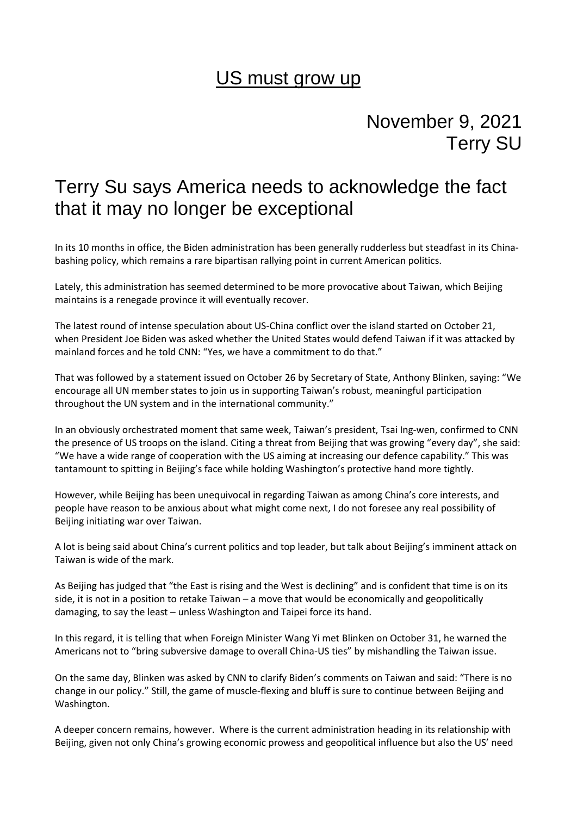## US must grow up

## November 9, 2021 Terry SU

## Terry Su says America needs to acknowledge the fact that it may no longer be exceptional

In its 10 months in office, the Biden administration has been generally rudderless but steadfast in its Chinabashing policy, which remains a rare bipartisan rallying point in current American politics.

Lately, this administration has seemed determined to be more provocative about Taiwan, which Beijing maintains is a renegade province it will eventually recover.

The latest round of intense speculation about US-China conflict over the island started on October 21, when President Joe Biden was asked whether the United States would defend Taiwan if it was attacked by mainland forces and he told CNN: "Yes, we have a commitment to do that."

That was followed by a statement issued on October 26 by Secretary of State, Anthony Blinken, saying: "We encourage all UN member states to join us in supporting Taiwan's robust, meaningful participation throughout the UN system and in the international community."

In an obviously orchestrated moment that same week, Taiwan's president, Tsai Ing-wen, confirmed to CNN the presence of US troops on the island. Citing a threat from Beijing that was growing "every day", she said: "We have a wide range of cooperation with the US aiming at increasing our defence capability." This was tantamount to spitting in Beijing's face while holding Washington's protective hand more tightly.

However, while Beijing has been unequivocal in regarding Taiwan as among China's core interests, and people have reason to be anxious about what might come next, I do not foresee any real possibility of Beijing initiating war over Taiwan.

A lot is being said about China's current politics and top leader, but talk about Beijing's imminent attack on Taiwan is wide of the mark.

As Beijing has judged that "the East is rising and the West is declining" and is confident that time is on its side, it is not in a position to retake Taiwan – a move that would be economically and geopolitically damaging, to say the least – unless Washington and Taipei force its hand.

In this regard, it is telling that when Foreign Minister Wang Yi met Blinken on October 31, he warned the Americans not to "bring subversive damage to overall China-US ties" by mishandling the Taiwan issue.

On the same day, Blinken was asked by CNN to clarify Biden's comments on Taiwan and said: "There is no change in our policy." Still, the game of muscle-flexing and bluff is sure to continue between Beijing and Washington.

A deeper concern remains, however. Where is the current administration heading in its relationship with Beijing, given not only China's growing economic prowess and geopolitical influence but also the US' need